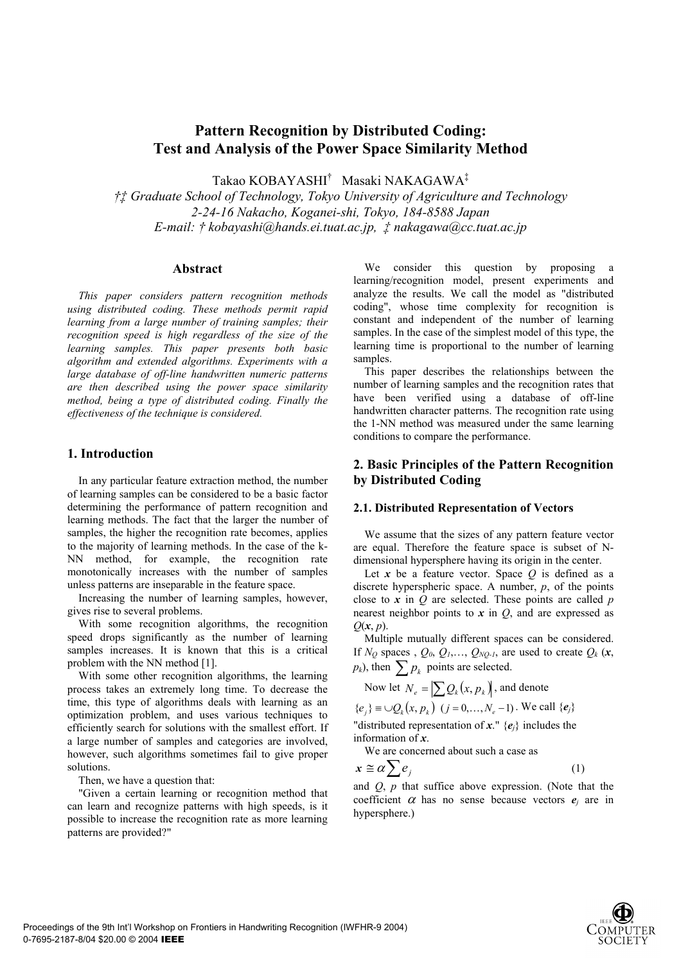# **Pattern Recognition by Distributed Coding: Test and Analysis of the Power Space Similarity Method**

Takao KOBAYASHI $^\dagger$  Masaki NAKAGAWA $^\ddagger$ 

*†‡ Graduate School of Technology, Tokyo University of Agriculture and Technology 2-24-16 Nakacho, Koganei-shi, Tokyo, 184-8588 Japan E-mail: † kobayashi@hands.ei.tuat.ac.jp, ‡ nakagawa@cc.tuat.ac.jp* 

#### **Abstract**

*This paper considers pattern recognition methods using distributed coding. These methods permit rapid learning from a large number of training samples; their recognition speed is high regardless of the size of the learning samples. This paper presents both basic algorithm and extended algorithms. Experiments with a large database of off-line handwritten numeric patterns are then described using the power space similarity method, being a type of distributed coding. Finally the effectiveness of the technique is considered.* 

#### **1. Introduction**

In any particular feature extraction method, the number of learning samples can be considered to be a basic factor determining the performance of pattern recognition and learning methods. The fact that the larger the number of samples, the higher the recognition rate becomes, applies to the majority of learning methods. In the case of the k-NN method, for example, the recognition rate monotonically increases with the number of samples unless patterns are inseparable in the feature space.

Increasing the number of learning samples, however, gives rise to several problems.

With some recognition algorithms, the recognition speed drops significantly as the number of learning samples increases. It is known that this is a critical problem with the NN method [1].

With some other recognition algorithms, the learning process takes an extremely long time. To decrease the time, this type of algorithms deals with learning as an optimization problem, and uses various techniques to efficiently search for solutions with the smallest effort. If a large number of samples and categories are involved, however, such algorithms sometimes fail to give proper solutions.

Then, we have a question that:

"Given a certain learning or recognition method that can learn and recognize patterns with high speeds, is it possible to increase the recognition rate as more learning patterns are provided?"

We consider this question by proposing a learning/recognition model, present experiments and analyze the results. We call the model as "distributed coding", whose time complexity for recognition is constant and independent of the number of learning samples. In the case of the simplest model of this type, the learning time is proportional to the number of learning samples.

This paper describes the relationships between the number of learning samples and the recognition rates that have been verified using a database of off-line handwritten character patterns. The recognition rate using the 1-NN method was measured under the same learning conditions to compare the performance.

## **2. Basic Principles of the Pattern Recognition by Distributed Coding**

#### **2.1. Distributed Representation of Vectors**

We assume that the sizes of any pattern feature vector are equal. Therefore the feature space is subset of Ndimensional hypersphere having its origin in the center.

Let  $x$  be a feature vector. Space  $Q$  is defined as a discrete hyperspheric space. A number, *p*, of the points close to *x* in *Q* are selected. These points are called *p* nearest neighbor points to *x* in *Q*, and are expressed as  $Q(x, p)$ .

Multiple mutually different spaces can be considered. If  $N_Q$  spaces,  $Q_0$ ,  $Q_1$ , ...,  $Q_{NQ-I}$ , are used to create  $Q_k$  ( $x$ ,  $p_k$ ), then  $\sum p_k$  points are selected.

Now let 
$$
N_e = \left| \sum Q_k(x, p_k) \right|
$$
, and denote  
 $\{e_j\} \equiv \cup Q_k(x, p_k)$   $(j = 0, ..., N_e - 1)$ . We call  $\{e_j\}$ 

"distributed representation of  $x$ ."  $\{e_i\}$  includes the information of *x*.

We are concerned about such a case as

$$
x \cong \alpha \sum e_j \tag{1}
$$

and *Q*, *p* that suffice above expression. (Note that the coefficient  $\alpha$  has no sense because vectors  $e_i$  are in hypersphere.)

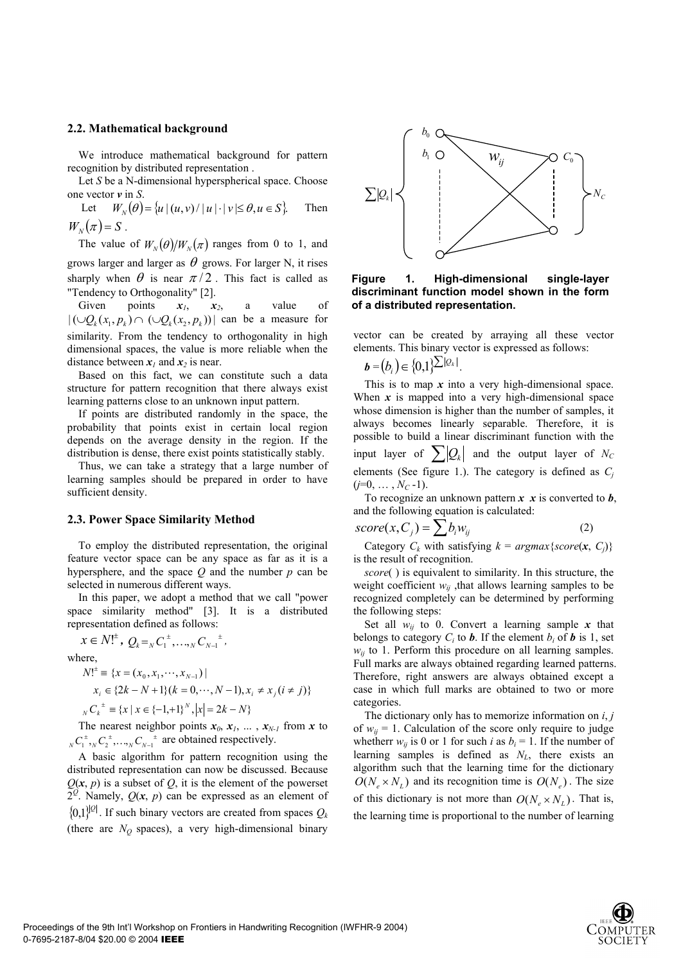#### **2.2. Mathematical background**

We introduce mathematical background for pattern recognition by distributed representation .

Let *S* be a N-dimensional hyperspherical space. Choose one vector *v* in *S*.

Let  $W_N(\theta) = \{u \mid (u, v) / |u| \cdot |v| \le \theta, u \in S\}$ . Then  $W_{N}(\pi) = S$ .

The value of  $W_y(\theta)/W_y(\pi)$  ranges from 0 to 1, and grows larger and larger as  $\theta$  grows. For larger N, it rises sharply when  $\theta$  is near  $\pi/2$ . This fact is called as "Tendency to Orthogonality" [2].

Given points  $x_1$ ,  $x_2$ , a value of  $|(\cup Q_k(x_i, p_k) \cap (\cup Q_k(x_i, p_k))|$  can be a measure for similarity. From the tendency to orthogonality in high dimensional spaces, the value is more reliable when the distance between  $x_i$  and  $x_2$  is near.

Based on this fact, we can constitute such a data structure for pattern recognition that there always exist learning patterns close to an unknown input pattern.

If points are distributed randomly in the space, the probability that points exist in certain local region depends on the average density in the region. If the distribution is dense, there exist points statistically stably.

Thus, we can take a strategy that a large number of learning samples should be prepared in order to have sufficient density.

#### **2.3. Power Space Similarity Method**

To employ the distributed representation, the original feature vector space can be any space as far as it is a hypersphere, and the space *Q* and the number *p* can be selected in numerous different ways.

In this paper, we adopt a method that we call "power space similarity method" [3]. It is a distributed representation defined as follows:

$$
x \in N!^{\pm}, \ Q_{k} = {}_{N}C_{1}^{\pm}, ..., {}_{N}C_{N-1}^{\pm},
$$

where,

$$
N!^{\pm} \equiv \{x = (x_0, x_1, \cdots, x_{N-1}) \mid
$$
  
\n
$$
x_i \in \{2k - N + 1\} (k = 0, \cdots, N - 1), x_i \neq x_j (i \neq j) \}
$$
  
\n
$$
N! \sum_{k=1}^{N} x_k = \{x \mid x \in \{-1, +1\}^N, |x| = 2k - N\}
$$

The nearest neighbor points  $x_0$ ,  $x_1$ , ...,  $x_{N-1}$  from x to  $_{N}C_1^{\pm}, _{N}C_2^{\pm}, \ldots, _{N}C_{N-1}^{\pm}$  are obtained respectively.

A basic algorithm for pattern recognition using the distributed representation can now be discussed. Because  $Q(x, p)$  is a subset of  $Q$ , it is the element of the powerset  $2^{\circ}$ . Namely,  $O(x, p)$  can be expressed as an element of  ${0,1}^{|\mathcal{Q}|}$ . If such binary vectors are created from spaces  $\mathcal{Q}_k$ (there are  $N_Q$  spaces), a very high-dimensional binary



**Figure 1. High-dimensional single-layer discriminant function model shown in the form of a distributed representation.** 

vector can be created by arraying all these vector elements. This binary vector is expressed as follows:

*b* =  $(b_i)$  ∈  $\{0,1\}^{\sum |Q_k|}$ 

This is to map  $x$  into a very high-dimensional space. When  $x$  is mapped into a very high-dimensional space whose dimension is higher than the number of samples, it always becomes linearly separable. Therefore, it is possible to build a linear discriminant function with the input layer of  $\sum_{k} |Q_k|$  and the output layer of  $N_C$ elements (See figure 1.). The category is defined as  $C_i$  $(j=0, \ldots, N_C-1)$ .

To recognize an unknown pattern *x x* is converted to *b*, and the following equation is calculated:

$$
score(x, C_j) = \sum b_i w_{ij} \tag{2}
$$

Category  $C_k$  with satisfying  $k = argmax\{score(x, C_i)\}$ is the result of recognition.

*score*( ) is equivalent to similarity. In this structure, the weight coefficient  $w_{ij}$ , that allows learning samples to be recognized completely can be determined by performing the following steps:

Set all  $w_{ii}$  to 0. Convert a learning sample x that belongs to category  $C_i$  to *b*. If the element  $b_i$  of *b* is 1, set  $w_{ii}$  to 1. Perform this procedure on all learning samples. Full marks are always obtained regarding learned patterns. Therefore, right answers are always obtained except a case in which full marks are obtained to two or more categories.

The dictionary only has to memorize information on *i*, *j* of  $w_{ii} = 1$ . Calculation of the score only require to judge whetherr  $w_{ij}$  is 0 or 1 for such *i* as  $b_i = 1$ . If the number of learning samples is defined as  $N_L$ , there exists an algorithm such that the learning time for the dictionary  $O(N_e \times N_l)$  and its recognition time is  $O(N_e)$ . The size of this dictionary is not more than  $O(N_e \times N_L)$ . That is, the learning time is proportional to the number of learning

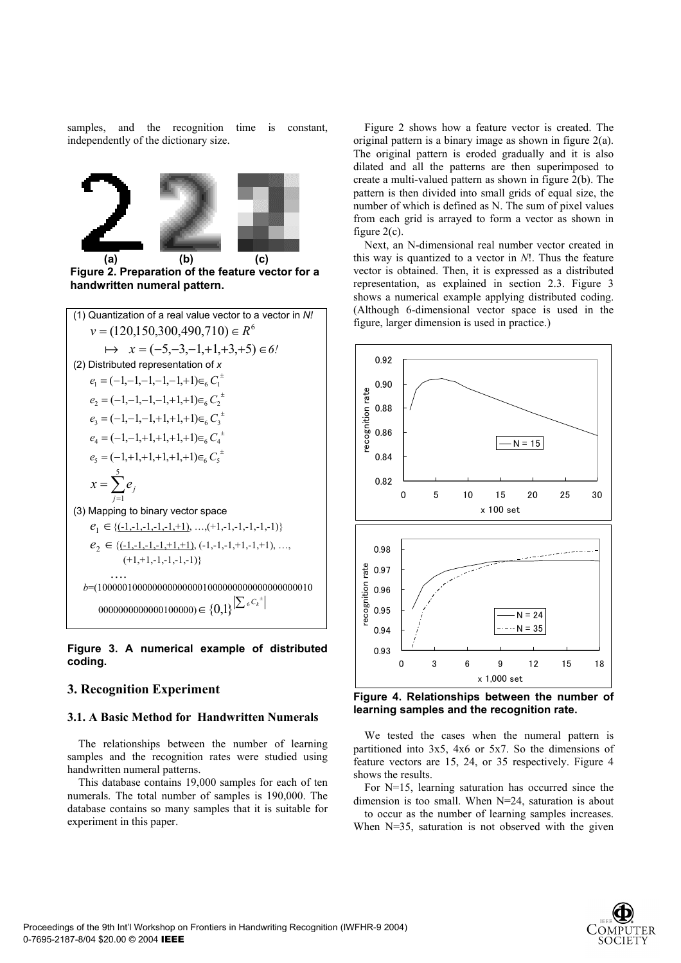samples, and the recognition time is constant, independently of the dictionary size.



**Figure 2. Preparation of the feature vector for a handwritten numeral pattern.** 

(1) Quantization of a real value vector to a vector in *N!* <sup>6</sup> )710,490,300,150,120( ∈= *Rv* a *x* −−−= + )5,3,1,1,3,5( ∈++ *6!* (2) Distributed representation of *x* <sup>±</sup> ∈+−−−−−= <sup>161</sup> )1,1,1,1,1,1( *Ce* <sup>±</sup> ∈++−−−−= <sup>262</sup> )1,1,1,1,1,1( *Ce* <sup>±</sup> ∈+++−−−= <sup>363</sup> )1,1,1,1,1,1( *Ce* <sup>±</sup> ∈++++−−= <sup>464</sup> )1,1,1,1,1,1( *Ce* <sup>±</sup> ∈+++++−= <sup>565</sup> )1,1,1,1,1,1( *Ce* ∑= = 5 *j* 1 *<sup>j</sup> ex* (3) Mapping to binary vector space *e*<sup>1</sup> ∈{(-1,-1,-1,-1,-1,+1), …,(+1,-1,-1,-1,-1,-1)} *e*<sup>2</sup> ∈{(-1,-1,-1,-1,+1,+1), (-1,-1,-1,+1,-1,+1), …, (+1,+1,-1,-1,-1,-1)} …. *b*=(1000001000000000000001000000000000000000010 0000000000000100000) <sup>∑</sup> <sup>∈</sup> <sup>±</sup> <sup>6</sup>*Ck* }1,0{

**Figure 3. A numerical example of distributed coding.**

## **3. Recognition Experiment**

#### **3.1. A Basic Method for Handwritten Numerals**

The relationships between the number of learning samples and the recognition rates were studied using handwritten numeral patterns.

This database contains 19,000 samples for each of ten numerals. The total number of samples is 190,000. The database contains so many samples that it is suitable for experiment in this paper.

Figure 2 shows how a feature vector is created. The original pattern is a binary image as shown in figure 2(a). The original pattern is eroded gradually and it is also dilated and all the patterns are then superimposed to create a multi-valued pattern as shown in figure 2(b). The pattern is then divided into small grids of equal size, the number of which is defined as N. The sum of pixel values from each grid is arrayed to form a vector as shown in figure 2(c).

Next, an N-dimensional real number vector created in this way is quantized to a vector in *N*!. Thus the feature vector is obtained. Then, it is expressed as a distributed representation, as explained in section 2.3. Figure 3 shows a numerical example applying distributed coding. (Although 6-dimensional vector space is used in the figure, larger dimension is used in practice.)



**Figure 4. Relationships between the number of learning samples and the recognition rate.** 

We tested the cases when the numeral pattern is partitioned into 3x5, 4x6 or 5x7. So the dimensions of feature vectors are 15, 24, or 35 respectively. Figure 4 shows the results.

For N=15, learning saturation has occurred since the dimension is too small. When N=24, saturation is about

to occur as the number of learning samples increases. When N=35, saturation is not observed with the given

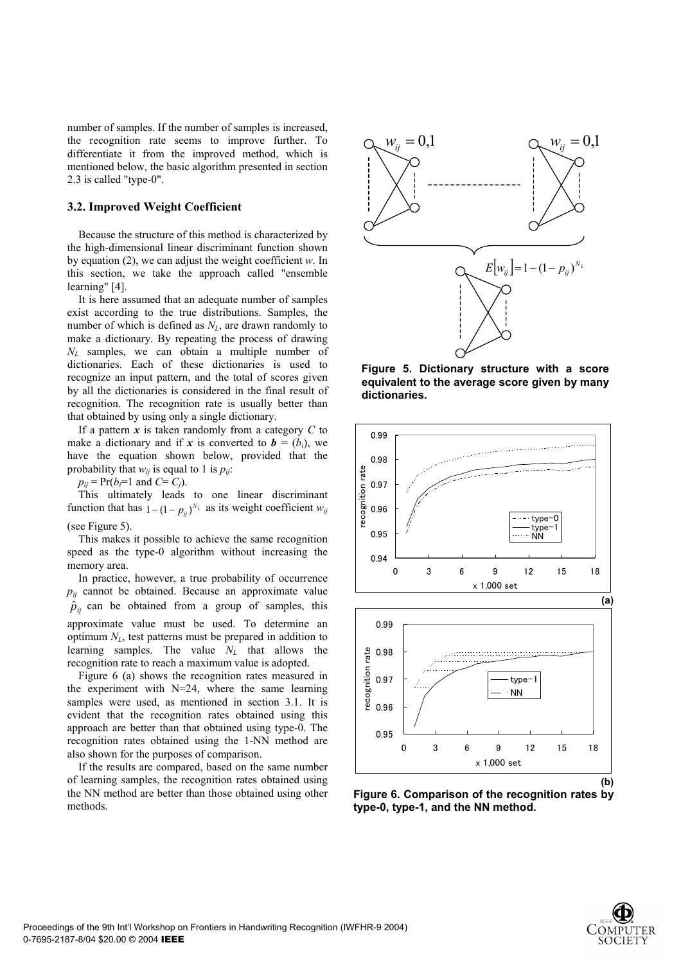number of samples. If the number of samples is increased, the recognition rate seems to improve further. To differentiate it from the improved method, which is mentioned below, the basic algorithm presented in section 2.3 is called "type-0".

#### **3.2. Improved Weight Coefficient**

Because the structure of this method is characterized by the high-dimensional linear discriminant function shown by equation (2), we can adjust the weight coefficient *w*. In this section, we take the approach called "ensemble learning" [4].

It is here assumed that an adequate number of samples exist according to the true distributions. Samples, the number of which is defined as  $N_L$ , are drawn randomly to make a dictionary. By repeating the process of drawing *NL* samples, we can obtain a multiple number of dictionaries. Each of these dictionaries is used to recognize an input pattern, and the total of scores given by all the dictionaries is considered in the final result of recognition. The recognition rate is usually better than that obtained by using only a single dictionary.

If a pattern  $x$  is taken randomly from a category  $C$  to make a dictionary and if *x* is converted to  $\mathbf{b} = (b_i)$ , we have the equation shown below, provided that the probability that  $w_{ij}$  is equal to 1 is  $p_{ij}$ :

 $p_{ij}$  = Pr(*b<sub>i</sub>*=1 and *C*= *C<sub>i</sub>*).

This ultimately leads to one linear discriminant function that has  $1 - (1 - p_{ij})^{N_L}$  as its weight coefficient  $w_{ij}$ (see Figure 5).

This makes it possible to achieve the same recognition speed as the type-0 algorithm without increasing the memory area.

In practice, however, a true probability of occurrence *pij* cannot be obtained. Because an approximate value  $\hat{p}_{ii}$  can be obtained from a group of samples, this approximate value must be used. To determine an optimum *NL*, test patterns must be prepared in addition to learning samples. The value *NL* that allows the recognition rate to reach a maximum value is adopted.

Figure 6 (a) shows the recognition rates measured in the experiment with N=24, where the same learning samples were used, as mentioned in section 3.1. It is evident that the recognition rates obtained using this approach are better than that obtained using type-0. The recognition rates obtained using the 1-NN method are also shown for the purposes of comparison.

If the results are compared, based on the same number of learning samples, the recognition rates obtained using the NN method are better than those obtained using other methods.



**Figure 5. Dictionary structure with a score equivalent to the average score given by many dictionaries.**



**(b)** 

**Figure 6. Comparison of the recognition rates by type-0, type-1, and the NN method.** 

x 1,000 set

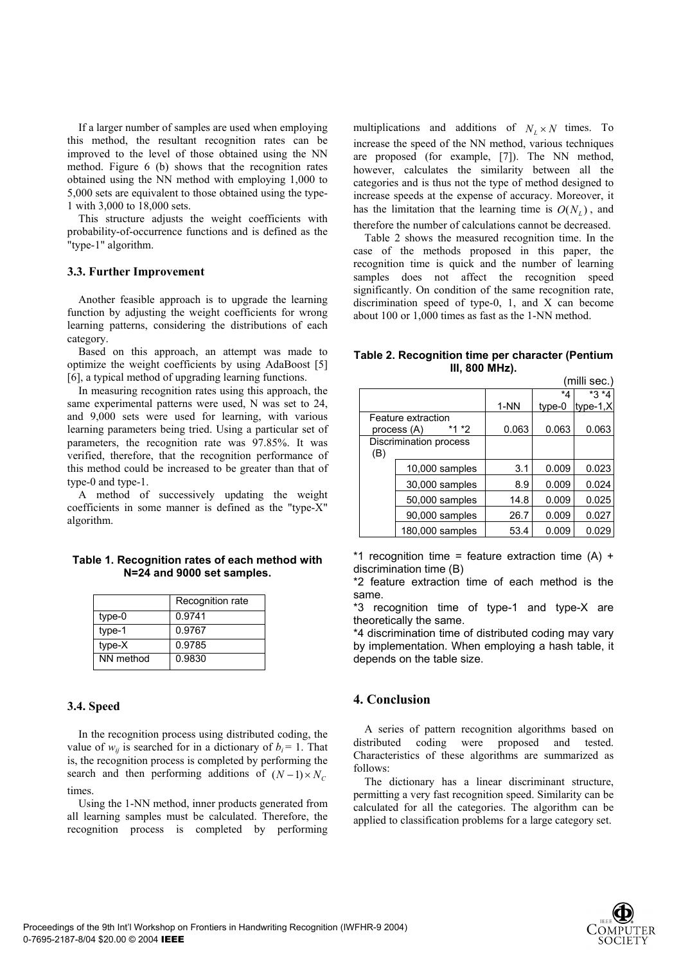If a larger number of samples are used when employing this method, the resultant recognition rates can be improved to the level of those obtained using the NN method. Figure 6 (b) shows that the recognition rates obtained using the NN method with employing 1,000 to 5,000 sets are equivalent to those obtained using the type-1 with 3,000 to 18,000 sets.

This structure adjusts the weight coefficients with probability-of-occurrence functions and is defined as the "type-1" algorithm.

### **3.3. Further Improvement**

Another feasible approach is to upgrade the learning function by adjusting the weight coefficients for wrong learning patterns, considering the distributions of each category.

Based on this approach, an attempt was made to optimize the weight coefficients by using AdaBoost [5] [6], a typical method of upgrading learning functions.

In measuring recognition rates using this approach, the same experimental patterns were used, N was set to 24, and 9,000 sets were used for learning, with various learning parameters being tried. Using a particular set of parameters, the recognition rate was 97.85%. It was verified, therefore, that the recognition performance of this method could be increased to be greater than that of type-0 and type-1.

A method of successively updating the weight coefficients in some manner is defined as the "type-X" algorithm.

**Table 1. Recognition rates of each method with N=24 and 9000 set samples.** 

|           | Recognition rate |  |
|-----------|------------------|--|
| type-0    | 0.9741           |  |
| type-1    | 0.9767           |  |
| type-X    | 0.9785           |  |
| NN method | 0.9830           |  |

#### **3.4. Speed**

In the recognition process using distributed coding, the value of  $w_{ii}$  is searched for in a dictionary of  $b_i = 1$ . That is, the recognition process is completed by performing the search and then performing additions of  $(N - 1) \times N_c$ times.

Using the 1-NN method, inner products generated from all learning samples must be calculated. Therefore, the recognition process is completed by performing multiplications and additions of  $N_L \times N$  times. To increase the speed of the NN method, various techniques are proposed (for example, [7]). The NN method, however, calculates the similarity between all the categories and is thus not the type of method designed to increase speeds at the expense of accuracy. Moreover, it has the limitation that the learning time is  $O(N<sub>L</sub>)$ , and therefore the number of calculations cannot be decreased.

Table 2 shows the measured recognition time. In the case of the methods proposed in this paper, the recognition time is quick and the number of learning samples does not affect the recognition speed significantly. On condition of the same recognition rate, discrimination speed of type-0, 1, and X can become about 100 or 1,000 times as fast as the 1-NN method.

**Table 2. Recognition time per character (Pentium III, 800 MHz).**

|                                            |                 | (milli sec.) |         |             |
|--------------------------------------------|-----------------|--------------|---------|-------------|
|                                            |                 |              | $*_{4}$ | 4* ?*       |
|                                            |                 | 1-NN         | type-0  | $type-1, X$ |
| Feature extraction<br>*1 *2<br>process (A) |                 | 0.063        | 0.063   | 0.063       |
| Discrimination process<br>(B)              |                 |              |         |             |
|                                            | 10,000 samples  | 3.1          | 0.009   | 0.023       |
|                                            | 30,000 samples  | 8.9          | 0.009   | 0.024       |
|                                            | 50,000 samples  | 14.8         | 0.009   | 0.025       |
|                                            | 90,000 samples  | 26.7         | 0.009   | 0.027       |
|                                            | 180,000 samples | 53.4         | 0.009   | 0.029       |

\*1 recognition time = feature extraction time  $(A)$  + discrimination time (B)

\*2 feature extraction time of each method is the same.

\*3 recognition time of type-1 and type-X are theoretically the same.

\*4 discrimination time of distributed coding may vary by implementation. When employing a hash table, it depends on the table size.

## **4. Conclusion**

A series of pattern recognition algorithms based on distributed coding were proposed and tested. Characteristics of these algorithms are summarized as follows:

The dictionary has a linear discriminant structure, permitting a very fast recognition speed. Similarity can be calculated for all the categories. The algorithm can be applied to classification problems for a large category set.